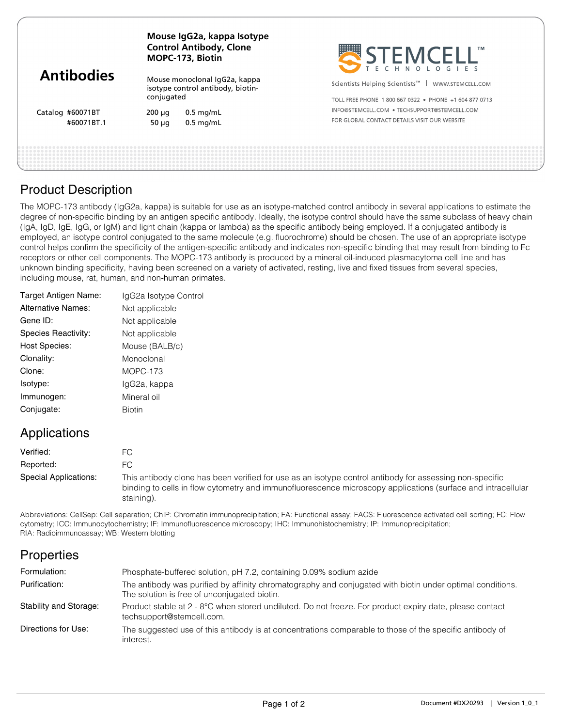| <b>Antibodies</b>              | Mouse IgG2a, kappa Isotype<br><b>Control Antibody, Clone</b><br>MOPC-173, Biotin |                                                                    | STEMCELL                                                                                                               |
|--------------------------------|----------------------------------------------------------------------------------|--------------------------------------------------------------------|------------------------------------------------------------------------------------------------------------------------|
|                                | conjugated                                                                       | Mouse monoclonal IgG2a, kappa<br>isotype control antibody, biotin- | Scientists Helping Scientists <sup>™</sup>   WWW.STEMCELL.COM<br>TOLL FREE PHONE 1800 667 0322 . PHONE +1 604 877 0713 |
| Catalog #60071BT<br>#60071BT.1 | $200 \mu q$<br>50 $\mu$ g                                                        | $0.5$ mg/mL<br>$0.5$ mg/mL                                         | INFO@STEMCELL.COM • TECHSUPPORT@STEMCELL.COM<br>FOR GLOBAL CONTACT DETAILS VISIT OUR WEBSITE                           |
|                                |                                                                                  |                                                                    |                                                                                                                        |

## Product Description

The MOPC-173 antibody (IgG2a, kappa) is suitable for use as an isotype-matched control antibody in several applications to estimate the degree of non-specific binding by an antigen specific antibody. Ideally, the isotype control should have the same subclass of heavy chain (IgA, IgD, IgE, IgG, or IgM) and light chain (kappa or lambda) as the specific antibody being employed. If a conjugated antibody is employed, an isotype control conjugated to the same molecule (e.g. fluorochrome) should be chosen. The use of an appropriate isotype control helps confirm the specificity of the antigen-specific antibody and indicates non-specific binding that may result from binding to Fc receptors or other cell components. The MOPC-173 antibody is produced by a mineral oil-induced plasmacytoma cell line and has unknown binding specificity, having been screened on a variety of activated, resting, live and fixed tissues from several species, including mouse, rat, human, and non-human primates.

| IgG2a Isotype Control |
|-----------------------|
| Not applicable        |
| Not applicable        |
| Not applicable        |
| Mouse (BALB/c)        |
| Monoclonal            |
| MOPC-173              |
| IgG2a, kappa          |
| Mineral oil           |
| <b>Biotin</b>         |
|                       |

## Applications

| Verified:             | FC.                                                                                                                                                                                                                                   |
|-----------------------|---------------------------------------------------------------------------------------------------------------------------------------------------------------------------------------------------------------------------------------|
| Reported:             | FC.                                                                                                                                                                                                                                   |
| Special Applications: | This antibody clone has been verified for use as an isotype control antibody for assessing non-specific<br>binding to cells in flow cytometry and immunofluorescence microscopy applications (surface and intracellular<br>staining). |

Abbreviations: CellSep: Cell separation; ChIP: Chromatin immunoprecipitation; FA: Functional assay; FACS: Fluorescence activated cell sorting; FC: Flow cytometry; ICC: Immunocytochemistry; IF: Immunofluorescence microscopy; IHC: Immunohistochemistry; IP: Immunoprecipitation; RIA: Radioimmunoassay; WB: Western blotting

# **Properties**

| Formulation:           | Phosphate-buffered solution, pH 7.2, containing 0.09% sodium azide                                                                                        |
|------------------------|-----------------------------------------------------------------------------------------------------------------------------------------------------------|
| Purification:          | The antibody was purified by affinity chromatography and conjugated with biotin under optimal conditions.<br>The solution is free of unconjugated biotin. |
| Stability and Storage: | Product stable at 2 - 8°C when stored undiluted. Do not freeze. For product expiry date, please contact<br>techsupport@stemcell.com.                      |
| Directions for Use:    | The suggested use of this antibody is at concentrations comparable to those of the specific antibody of<br>interest.                                      |